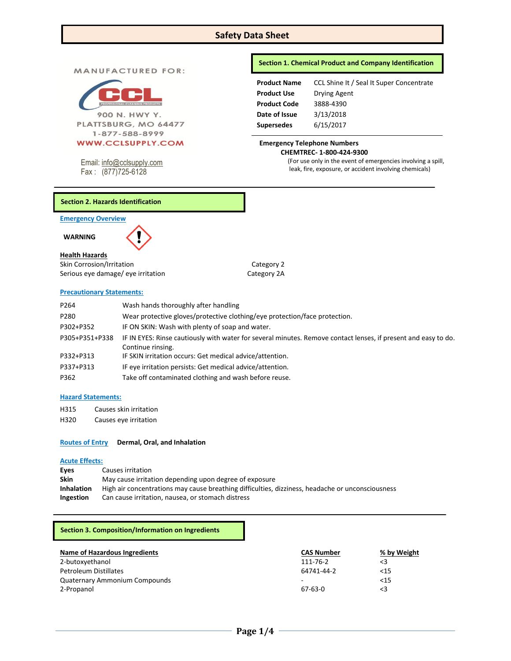# **Safety Data Sheet**

**MANUFACTURED FOR:** 



900 N. HWY Y. PLATTSBURG, MO 64477 1-877-588-8999

Email: [info@cclsupply.com](mailto:info@cclsupply.com)

Fax : (877)725-6128

## **Section 1. Chemical Product and Company Identification**

| <b>Product Name</b> | CCL Shine It / Seal It Super Concentrate |
|---------------------|------------------------------------------|
| <b>Product Use</b>  | Drying Agent                             |
| <b>Product Code</b> | 3888-4390                                |
| Date of Issue       | 3/13/2018                                |
| <b>Supersedes</b>   | 6/15/2017                                |

#### **Emergency Telephone Numbers CHEMTREC- 1-800-424-9300**

(For use only in the event of emergencies involving a spill, leak, fire, exposure, or accident involving chemicals)

### **Section 2. Hazards Identification**

**Emergency Overview** 



**Health Hazards** Skin Corrosion/Irritation Category 2 Serious eye damage/ eye irritation Category 2A

# **Precautionary Statements:**

| P <sub>264</sub> | Wash hands thoroughly after handling                                                                           |
|------------------|----------------------------------------------------------------------------------------------------------------|
| P280             | Wear protective gloves/protective clothing/eye protection/face protection.                                     |
| P302+P352        | IF ON SKIN: Wash with plenty of soap and water.                                                                |
| P305+P351+P338   | IF IN EYES: Rinse cautiously with water for several minutes. Remove contact lenses, if present and easy to do. |
|                  | Continue rinsing.                                                                                              |
| P332+P313        | IF SKIN irritation occurs: Get medical advice/attention.                                                       |
| P337+P313        | IF eye irritation persists: Get medical advice/attention.                                                      |
| P362             | Take off contaminated clothing and wash before reuse.                                                          |

### **Hazard Statements:**

H315 Causes skin irritation H320 Causes eye irritation

# **Routes of Entry Dermal, Oral, and Inhalation**

#### **Acute Effects:**

| Eves              | Causes irritation                                                                                |
|-------------------|--------------------------------------------------------------------------------------------------|
| <b>Skin</b>       | May cause irritation depending upon degree of exposure                                           |
| <b>Inhalation</b> | High air concentrations may cause breathing difficulties, dizziness, headache or unconsciousness |
| <b>Ingestion</b>  | Can cause irritation, nausea, or stomach distress                                                |

#### **Section 3. Composition/Information on Ingredients**

| Name of Hazardous Ingredients        | <b>CAS Number</b> | % by Weight |
|--------------------------------------|-------------------|-------------|
| 2-butoxyethanol                      | 111-76-2          | <3          |
| Petroleum Distillates                | 64741-44-2        | < 15        |
| <b>Quaternary Ammonium Compounds</b> | -                 | < 15        |
| 2-Propanol                           | $67-63-0$         | <3          |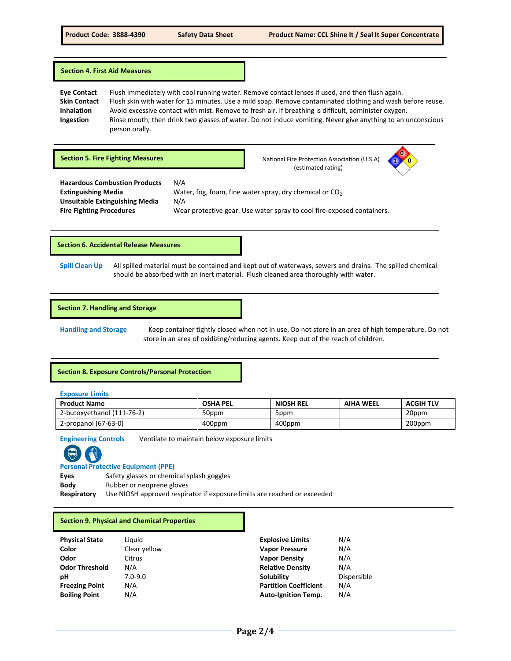#### **Section 4. First Aid Measures**

**Eye Contact** Flush immediately with cool running water. Remove contact lenses if used, and then flush again. **Skin Contact** Flush skin with water for 15 minutes. Use a mild soap. Remove contaminated clothing and wash before reuse. **Inhalation** Avoid excessive contact with mist. Remove to fresh air. If breathing is difficult, administer oxygen. **Ingestion** Rinse mouth; then drink two glasses of water. Do not induce vomiting. Never give anything to an unconscious person orally.

**Section 5. Fire Fighting Measures National Fire Protection Association (U.S.A) National Fire Protection Association (U.S.A)** 

(estimated rating)



**Hazardous Combustion Products** N/A **Unsuitable Extinguishing Media** N/A

**Extinguishing Media Water, fog, foam, fine water spray, dry chemical or CO<sub>2</sub> Fire Fighting Procedures** Wear protective gear. Use water spray to cool fire-exposed containers.

**Section 6. Accidental Release Measures**

**Spill Clean Up** All spilled material must be contained and kept out of waterways, sewers and drains. The spilled chemical should be absorbed with an inert material. Flush cleaned area thoroughly with water.

#### **Section 7. Handling and Storage**

**Handling and Storage** Keep container tightly closed when not in use. Do not store in an area of high temperature. Do not store in an area of oxidizing/reducing agents. Keep out of the reach of children.

#### **Section 8. Exposure Controls/Personal Protection**

**Exposure Limits**

| <b>Product Name</b>        | <b>OSHA PEL</b> | <b>NIOSH REL</b> | <b>AIHA WEEL</b> | <b>ACGIH TLV</b> |
|----------------------------|-----------------|------------------|------------------|------------------|
| 2-butoxvethanol (111-76-2) | 50ppm           | 5ppm             |                  | 20ppm            |
| 2-propanol (67-63-0)       | 400ppm          | 400ppm           |                  | 200ppm           |

**Engineering Controls** Ventilate to maintain below exposure limits



**Personal Protective Equipment (PPE)**

Eyes Safety glasses or chemical splash goggles

**Body** Rubber or neoprene gloves

**Respiratory** Use NIOSH approved respirator if exposure limits are reached or exceeded

#### **Section 9. Physical and Chemical Properties**

| <b>Physical State</b> | Li |
|-----------------------|----|
| Color                 | Cl |
| Odor                  | Ci |
| <b>Odor Threshold</b> | N. |
| рH                    | 7. |
| <b>Freezing Point</b> | N. |
| <b>Boiling Point</b>  | N. |

**Physical State** Liquid **Explosive Limits** N/A **Color** Clear yellow **Vapor Pressure** N/A **Odor** Citrus **Vapor Density** N/A **Odor Threshold** N/A **Relative Density** N/A **pH** 7.0-9.0 **Solubility** Dispersible **Freezing Point** N/A **Partition Coefficient** N/A **Boiling Point** N/A **Auto-Ignition Temp.** N/A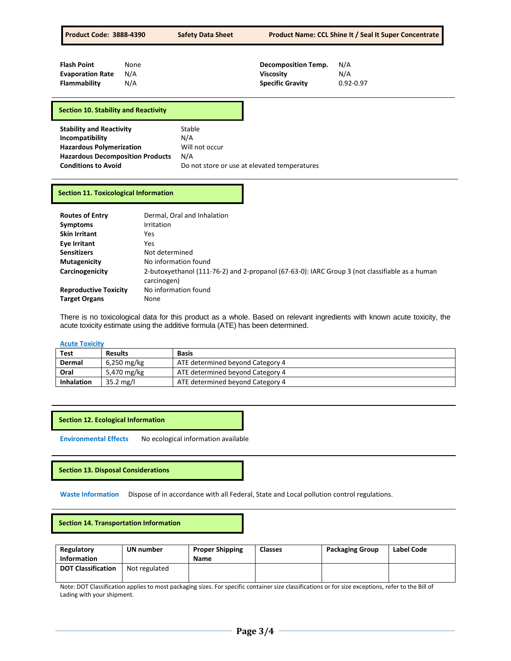| <b>Product Code: 3888-4390</b>                                                                                                   |                    | <b>Safety Data Sheet</b>               | <b>Product Name: CCL Shine It / Seal It Super Concentrate</b>             |                             |  |
|----------------------------------------------------------------------------------------------------------------------------------|--------------------|----------------------------------------|---------------------------------------------------------------------------|-----------------------------|--|
| <b>Flash Point</b><br><b>Evaporation Rate</b><br>Flammability                                                                    | None<br>N/A<br>N/A |                                        | <b>Decomposition Temp.</b><br><b>Viscosity</b><br><b>Specific Gravity</b> | N/A<br>N/A<br>$0.92 - 0.97$ |  |
| Section 10. Stability and Reactivity                                                                                             |                    |                                        |                                                                           |                             |  |
| <b>Stability and Reactivity</b><br>Incompatibility<br><b>Hazardous Polymerization</b><br><b>Hazardous Decomposition Products</b> |                    | Stable<br>N/A<br>Will not occur<br>N/A |                                                                           |                             |  |

# **Conditions to Avoid** Do not store or use at elevated temperatures

### **Section 11. Toxicological Information**

| <b>Routes of Entry</b>       | Dermal, Oral and Inhalation                                                                                   |
|------------------------------|---------------------------------------------------------------------------------------------------------------|
| <b>Symptoms</b>              | Irritation                                                                                                    |
| <b>Skin Irritant</b>         | Yes.                                                                                                          |
| Eye Irritant                 | Yes                                                                                                           |
| <b>Sensitizers</b>           | Not determined                                                                                                |
| <b>Mutagenicity</b>          | No information found                                                                                          |
| Carcinogenicity              | 2-butoxyethanol (111-76-2) and 2-propanol (67-63-0): IARC Group 3 (not classifiable as a human<br>carcinogen) |
| <b>Reproductive Toxicity</b> | No information found                                                                                          |
| <b>Target Organs</b>         | None                                                                                                          |

There is no toxicological data for this product as a whole. Based on relevant ingredients with known acute toxicity, the acute toxicity estimate using the additive formula (ATE) has been determined.

#### **Acute Toxicity**

| Test              | <b>Results</b>      | <b>Basis</b>                     |
|-------------------|---------------------|----------------------------------|
| Dermal            | 6,250 mg/kg         | ATE determined beyond Category 4 |
| Oral              | 5,470 mg/kg         | ATE determined beyond Category 4 |
| <b>Inhalation</b> | $35.2 \text{ mg/l}$ | ATE determined beyond Category 4 |

## **Section 12. Ecological Information**

**Environmental Effects** No ecological information available

#### **Section 13. Disposal Considerations**

**Waste Information** Dispose of in accordance with all Federal, State and Local pollution control regulations.

# **Section 14. Transportation Information**

| Regulatory<br><b>Information</b> | UN number     | <b>Proper Shipping</b><br><b>Name</b> | <b>Classes</b> | <b>Packaging Group</b> | <b>Label Code</b> |
|----------------------------------|---------------|---------------------------------------|----------------|------------------------|-------------------|
| <b>DOT Classification</b>        | Not regulated |                                       |                |                        |                   |

Note: DOT Classification applies to most packaging sizes. For specific container size classifications or for size exceptions, refer to the Bill of Lading with your shipment.